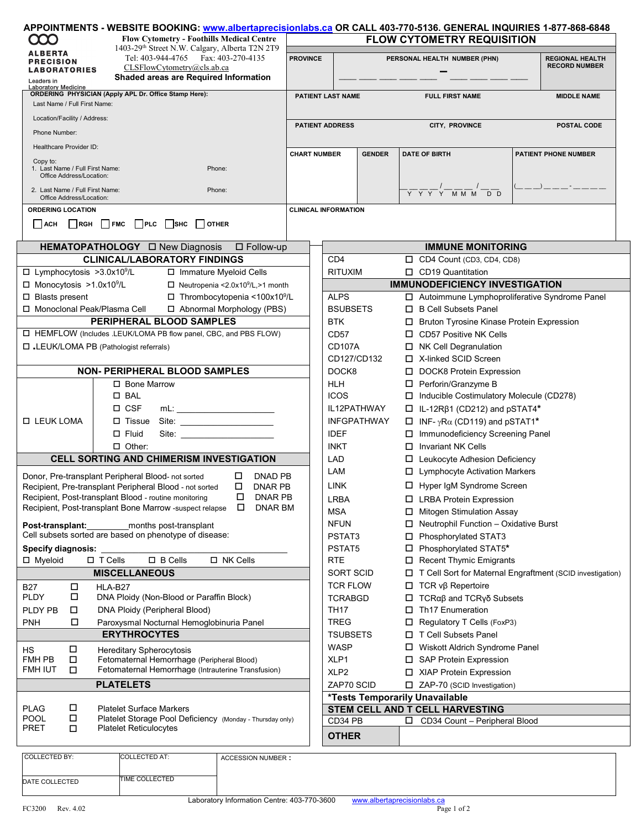| 1403-29 <sup>th</sup> Street N.W. Calgary, Alberta T2N 2T9<br><b>ALBERTA</b><br>Tel: 403-944-4765 Fax: 403-270-4135<br><b>PROVINCE</b><br>PERSONAL HEALTH NUMBER (PHN)<br><b>REGIONAL HEALTH</b><br><b>PRECISION</b><br><b>RECORD NUMBER</b><br>CLSFlowCytometry@cls.ab.ca<br><b>LABORATORIES</b><br>Shaded areas are Required Information<br>Leaders in<br><b>Laboratory Medicine</b><br>ORDERING PHYSICIAN (Apply APL Dr. Office Stamp Here):<br>PATIENT LAST NAME<br><b>FULL FIRST NAME</b><br><b>MIDDLE NAME</b><br>Last Name / Full First Name:<br>Location/Facility / Address:<br><b>PATIENT ADDRESS</b><br>CITY, PROVINCE<br>POSTAL CODE<br>Phone Number:<br>Healthcare Provider ID:<br><b>DATE OF BIRTH</b><br><b>CHART NUMBER</b><br><b>GENDER</b><br><b>PATIENT PHONE NUMBER</b><br>Copy to:<br>1. Last Name / Full First Name:<br>Phone:<br>Office Address/Location:<br>2. Last Name / Full First Name:<br>Phone:<br>Y Y Y Y M M M D D<br>Office Address/Location:<br><b>ORDERING LOCATION</b><br><b>CLINICAL INFORMATION</b><br><b>OTHER</b><br>RGH<br><b>FMC</b><br><b>PLC</b><br><b>SHC</b><br><b>ACH</b><br><b>IMMUNE MONITORING</b><br>$\square$ Follow-up<br><b>CLINICAL/LABORATORY FINDINGS</b><br>CD <sub>4</sub><br>CD4 Count (CD3, CD4, CD8)<br>$\Box$ Lymphocytosis >3.0x10 <sup>9</sup> /L<br>$\Box$ CD19 Quantitation<br>□ Immature Myeloid Cells<br><b>RITUXIM</b><br><b>IMMUNODEFICIENCY INVESTIGATION</b><br>$\Box$ Monocytosis >1.0x10 <sup>9</sup> /L<br>$\Box$ Neutropenia < 2.0x10 <sup>9</sup> /L, > 1 month<br>$\Box$ Thrombocytopenia <100x10 <sup>9</sup> /L<br><b>ALPS</b><br>□ Blasts present<br>□ Autoimmune Lymphoproliferative Syndrome Panel<br>□ Monoclonal Peak/Plasma Cell<br><b>BSUBSETS</b><br>□ B Cell Subsets Panel<br>□ Abnormal Morphology (PBS)<br>PERIPHERAL BLOOD SAMPLES<br><b>BTK</b><br>□ Bruton Tyrosine Kinase Protein Expression<br>□ HEMFLOW (Includes .LEUK/LOMA PB flow panel, CBC, and PBS FLOW)<br>CD57<br>$\Box$ CD57 Positive NK Cells<br>LEUK/LOMA PB (Pathologist referrals)<br><b>CD107A</b><br>$\Box$ NK Cell Degranulation<br>□ X-linked SCID Screen<br>CD127/CD132<br><b>NON- PERIPHERAL BLOOD SAMPLES</b><br>DOCK8<br>D DOCK8 Protein Expression<br>□ Bone Marrow<br>HLH<br>□ Perforin/Granzyme B<br>$\square$ BAL<br><b>ICOS</b><br>□ Inducible Costimulatory Molecule (CD278)<br>$\Box$ CSF<br>IL12PATHWAY<br>$\Box$ IL-12R $\beta$ 1 (CD212) and pSTAT4*<br>□ LEUK LOMA<br>$\Box$ Tissue<br><b>INFGPATHWAY</b><br>$\Box$ INF- $\gamma$ R $\alpha$ (CD119) and pSTAT1*<br>□ Immunodeficiency Screening Panel<br>$\Box$ Fluid<br><b>IDEF</b><br>Site:<br>$\Box$ Invariant NK Cells<br>$\Box$ Other:<br>INKT<br><b>CELL SORTING AND CHIMERISM INVESTIGATION</b><br>LAD<br>□ Leukocyte Adhesion Deficiency<br>LAM<br>$\Box$ Lymphocyte Activation Markers<br>Donor, Pre-transplant Peripheral Blood- not sorted<br>DNAD PB<br>□<br>LINK<br>□ Hyper IqM Syndrome Screen<br>□<br>DNAR PB<br>Recipient, Pre-transplant Peripheral Blood - not sorted<br><b>DNAR PB</b><br>Recipient, Post-transplant Blood - routine monitoring<br>□<br><b>LRBA</b><br>□ LRBA Protein Expression<br>Recipient, Post-transplant Bone Marrow -suspect relapse<br><b>DNAR BM</b><br>□<br><b>MSA</b><br>□ Mitogen Stimulation Assay<br><b>NFUN</b><br>$\Box$ Neutrophil Function - Oxidative Burst<br>Post-transplant:<br>months post-transplant<br>Cell subsets sorted are based on phenotype of disease:<br>□ Phosphorylated STAT3<br>PSTAT3<br>PSTAT5<br>□ Phosphorylated STAT5*<br><b>Specify diagnosis:</b><br>$\Box$ T Cells<br>$\square$ B Cells<br>□ NK Cells<br>$\Box$ Myeloid<br>RTE<br>Recent Thymic Emigrants<br><b>MISCELLANEOUS</b><br><b>SORT SCID</b><br>□ T Cell Sort for Maternal Engraftment (SCID investigation)<br><b>TCR FLOW</b><br>$\Box$ TCR v $\beta$ Repertoire<br>$\Box$<br>HLA-B27<br><b>B27</b><br>□<br><b>PLDY</b><br>DNA Ploidy (Non-Blood or Paraffin Block)<br><b>TCRABGD</b><br>$\Box$ TCR $\alpha\beta$ and TCR $\gamma\delta$ Subsets<br><b>TH17</b><br>$\Box$ Th17 Enumeration<br>DNA Ploidy (Peripheral Blood)<br>PLDY PB<br>□<br>PNH<br>□<br><b>TREG</b><br>$\Box$ Regulatory T Cells (FoxP3)<br>Paroxysmal Nocturnal Hemoglobinuria Panel<br><b>ERYTHROCYTES</b><br>T Cell Subsets Panel<br>TSUBSETS<br>WASP<br>□ Wiskott Aldrich Syndrome Panel<br>$\Box$<br><b>Hereditary Spherocytosis</b><br>НS<br>FMH PB<br>$\Box$<br>Fetomaternal Hemorrhage (Peripheral Blood)<br>XLP1<br>□ SAP Protein Expression<br>Fetomaternal Hemorrhage (Intrauterine Transfusion)<br>FMH IUT<br>$\Box$<br>XLP <sub>2</sub><br>□ XIAP Protein Expression<br><b>PLATELETS</b><br>ZAP70 SCID<br>□ ZAP-70 (SCID Investigation)<br>*Tests Temporarily Unavailable<br>□<br>STEM CELL AND T CELL HARVESTING<br><b>PLAG</b><br><b>Platelet Surface Markers</b><br>$\Box$<br><b>POOL</b><br>Platelet Storage Pool Deficiency (Monday - Thursday only)<br>CD34 PB<br>$\Box$<br>CD34 Count - Peripheral Blood<br>PRET<br><b>Platelet Reticulocytes</b><br>$\Box$<br><b>OTHER</b><br><b>COLLECTED BY:</b><br><b>COLLECTED AT:</b><br><b>ACCESSION NUMBER:</b> | <b>CCC</b> |  |  | <b>Flow Cytometry - Foothills Medical Centre</b> |  | APPOINTMENTS - WEBSITE BOOKING: www.albertaprecisionlabs.ca OR CALL 403-770-5136. GENERAL INQUIRIES 1-877-868-6848<br><b>FLOW CYTOMETRY REQUISITION</b> |  |  |  |  |  |  |  |
|---------------------------------------------------------------------------------------------------------------------------------------------------------------------------------------------------------------------------------------------------------------------------------------------------------------------------------------------------------------------------------------------------------------------------------------------------------------------------------------------------------------------------------------------------------------------------------------------------------------------------------------------------------------------------------------------------------------------------------------------------------------------------------------------------------------------------------------------------------------------------------------------------------------------------------------------------------------------------------------------------------------------------------------------------------------------------------------------------------------------------------------------------------------------------------------------------------------------------------------------------------------------------------------------------------------------------------------------------------------------------------------------------------------------------------------------------------------------------------------------------------------------------------------------------------------------------------------------------------------------------------------------------------------------------------------------------------------------------------------------------------------------------------------------------------------------------------------------------------------------------------------------------------------------------------------------------------------------------------------------------------------------------------------------------------------------------------------------------------------------------------------------------------------------------------------------------------------------------------------------------------------------------------------------------------------------------------------------------------------------------------------------------------------------------------------------------------------------------------------------------------------------------------------------------------------------------------------------------------------------------------------------------------------------------------------------------------------------------------------------------------------------------------------------------------------------------------------------------------------------------------------------------------------------------------------------------------------------------------------------------------------------------------------------------------------------------------------------------------------------------------------------------------------------------------------------------------------------------------------------------------------------------------------------------------------------------------------------------------------------------------------------------------------------------------------------------------------------------------------------------------------------------------------------------------------------------------------------------------------------------------------------------------------------------------------------------------------------------------------------------------------------------------------------------------------------------------------------------------------------------------------------------------------------------------------------------------------------------------------------------------------------------------------------------------------------------------------------------------------------------------------------------------------------------------------------------------------------------------------------------------------------------------------------------------------------------------------------------------------------------------------------------------------------------------------------------------------------------------------------------------------------------------------------------------------------------------------------------------------------------------------------------------------------------------------------------------------------------------------------------------------------------------------------------------------------------------------------------------------------------------------------------------------------------------------------------------------------------------------------------------------------------------------------------------------------------------------------------------------------------|------------|--|--|--------------------------------------------------|--|---------------------------------------------------------------------------------------------------------------------------------------------------------|--|--|--|--|--|--|--|
|                                                                                                                                                                                                                                                                                                                                                                                                                                                                                                                                                                                                                                                                                                                                                                                                                                                                                                                                                                                                                                                                                                                                                                                                                                                                                                                                                                                                                                                                                                                                                                                                                                                                                                                                                                                                                                                                                                                                                                                                                                                                                                                                                                                                                                                                                                                                                                                                                                                                                                                                                                                                                                                                                                                                                                                                                                                                                                                                                                                                                                                                                                                                                                                                                                                                                                                                                                                                                                                                                                                                                                                                                                                                                                                                                                                                                                                                                                                                                                                                                                                                                                                                                                                                                                                                                                                                                                                                                                                                                                                                                                                                                                                                                                                                                                                                                                                                                                                                                                                                                                                                                                                           |            |  |  |                                                  |  |                                                                                                                                                         |  |  |  |  |  |  |  |
|                                                                                                                                                                                                                                                                                                                                                                                                                                                                                                                                                                                                                                                                                                                                                                                                                                                                                                                                                                                                                                                                                                                                                                                                                                                                                                                                                                                                                                                                                                                                                                                                                                                                                                                                                                                                                                                                                                                                                                                                                                                                                                                                                                                                                                                                                                                                                                                                                                                                                                                                                                                                                                                                                                                                                                                                                                                                                                                                                                                                                                                                                                                                                                                                                                                                                                                                                                                                                                                                                                                                                                                                                                                                                                                                                                                                                                                                                                                                                                                                                                                                                                                                                                                                                                                                                                                                                                                                                                                                                                                                                                                                                                                                                                                                                                                                                                                                                                                                                                                                                                                                                                                           |            |  |  |                                                  |  |                                                                                                                                                         |  |  |  |  |  |  |  |
|                                                                                                                                                                                                                                                                                                                                                                                                                                                                                                                                                                                                                                                                                                                                                                                                                                                                                                                                                                                                                                                                                                                                                                                                                                                                                                                                                                                                                                                                                                                                                                                                                                                                                                                                                                                                                                                                                                                                                                                                                                                                                                                                                                                                                                                                                                                                                                                                                                                                                                                                                                                                                                                                                                                                                                                                                                                                                                                                                                                                                                                                                                                                                                                                                                                                                                                                                                                                                                                                                                                                                                                                                                                                                                                                                                                                                                                                                                                                                                                                                                                                                                                                                                                                                                                                                                                                                                                                                                                                                                                                                                                                                                                                                                                                                                                                                                                                                                                                                                                                                                                                                                                           |            |  |  |                                                  |  |                                                                                                                                                         |  |  |  |  |  |  |  |
|                                                                                                                                                                                                                                                                                                                                                                                                                                                                                                                                                                                                                                                                                                                                                                                                                                                                                                                                                                                                                                                                                                                                                                                                                                                                                                                                                                                                                                                                                                                                                                                                                                                                                                                                                                                                                                                                                                                                                                                                                                                                                                                                                                                                                                                                                                                                                                                                                                                                                                                                                                                                                                                                                                                                                                                                                                                                                                                                                                                                                                                                                                                                                                                                                                                                                                                                                                                                                                                                                                                                                                                                                                                                                                                                                                                                                                                                                                                                                                                                                                                                                                                                                                                                                                                                                                                                                                                                                                                                                                                                                                                                                                                                                                                                                                                                                                                                                                                                                                                                                                                                                                                           |            |  |  |                                                  |  |                                                                                                                                                         |  |  |  |  |  |  |  |
|                                                                                                                                                                                                                                                                                                                                                                                                                                                                                                                                                                                                                                                                                                                                                                                                                                                                                                                                                                                                                                                                                                                                                                                                                                                                                                                                                                                                                                                                                                                                                                                                                                                                                                                                                                                                                                                                                                                                                                                                                                                                                                                                                                                                                                                                                                                                                                                                                                                                                                                                                                                                                                                                                                                                                                                                                                                                                                                                                                                                                                                                                                                                                                                                                                                                                                                                                                                                                                                                                                                                                                                                                                                                                                                                                                                                                                                                                                                                                                                                                                                                                                                                                                                                                                                                                                                                                                                                                                                                                                                                                                                                                                                                                                                                                                                                                                                                                                                                                                                                                                                                                                                           |            |  |  |                                                  |  |                                                                                                                                                         |  |  |  |  |  |  |  |
|                                                                                                                                                                                                                                                                                                                                                                                                                                                                                                                                                                                                                                                                                                                                                                                                                                                                                                                                                                                                                                                                                                                                                                                                                                                                                                                                                                                                                                                                                                                                                                                                                                                                                                                                                                                                                                                                                                                                                                                                                                                                                                                                                                                                                                                                                                                                                                                                                                                                                                                                                                                                                                                                                                                                                                                                                                                                                                                                                                                                                                                                                                                                                                                                                                                                                                                                                                                                                                                                                                                                                                                                                                                                                                                                                                                                                                                                                                                                                                                                                                                                                                                                                                                                                                                                                                                                                                                                                                                                                                                                                                                                                                                                                                                                                                                                                                                                                                                                                                                                                                                                                                                           |            |  |  |                                                  |  |                                                                                                                                                         |  |  |  |  |  |  |  |
|                                                                                                                                                                                                                                                                                                                                                                                                                                                                                                                                                                                                                                                                                                                                                                                                                                                                                                                                                                                                                                                                                                                                                                                                                                                                                                                                                                                                                                                                                                                                                                                                                                                                                                                                                                                                                                                                                                                                                                                                                                                                                                                                                                                                                                                                                                                                                                                                                                                                                                                                                                                                                                                                                                                                                                                                                                                                                                                                                                                                                                                                                                                                                                                                                                                                                                                                                                                                                                                                                                                                                                                                                                                                                                                                                                                                                                                                                                                                                                                                                                                                                                                                                                                                                                                                                                                                                                                                                                                                                                                                                                                                                                                                                                                                                                                                                                                                                                                                                                                                                                                                                                                           |            |  |  |                                                  |  |                                                                                                                                                         |  |  |  |  |  |  |  |
|                                                                                                                                                                                                                                                                                                                                                                                                                                                                                                                                                                                                                                                                                                                                                                                                                                                                                                                                                                                                                                                                                                                                                                                                                                                                                                                                                                                                                                                                                                                                                                                                                                                                                                                                                                                                                                                                                                                                                                                                                                                                                                                                                                                                                                                                                                                                                                                                                                                                                                                                                                                                                                                                                                                                                                                                                                                                                                                                                                                                                                                                                                                                                                                                                                                                                                                                                                                                                                                                                                                                                                                                                                                                                                                                                                                                                                                                                                                                                                                                                                                                                                                                                                                                                                                                                                                                                                                                                                                                                                                                                                                                                                                                                                                                                                                                                                                                                                                                                                                                                                                                                                                           |            |  |  |                                                  |  |                                                                                                                                                         |  |  |  |  |  |  |  |
|                                                                                                                                                                                                                                                                                                                                                                                                                                                                                                                                                                                                                                                                                                                                                                                                                                                                                                                                                                                                                                                                                                                                                                                                                                                                                                                                                                                                                                                                                                                                                                                                                                                                                                                                                                                                                                                                                                                                                                                                                                                                                                                                                                                                                                                                                                                                                                                                                                                                                                                                                                                                                                                                                                                                                                                                                                                                                                                                                                                                                                                                                                                                                                                                                                                                                                                                                                                                                                                                                                                                                                                                                                                                                                                                                                                                                                                                                                                                                                                                                                                                                                                                                                                                                                                                                                                                                                                                                                                                                                                                                                                                                                                                                                                                                                                                                                                                                                                                                                                                                                                                                                                           |            |  |  |                                                  |  |                                                                                                                                                         |  |  |  |  |  |  |  |
|                                                                                                                                                                                                                                                                                                                                                                                                                                                                                                                                                                                                                                                                                                                                                                                                                                                                                                                                                                                                                                                                                                                                                                                                                                                                                                                                                                                                                                                                                                                                                                                                                                                                                                                                                                                                                                                                                                                                                                                                                                                                                                                                                                                                                                                                                                                                                                                                                                                                                                                                                                                                                                                                                                                                                                                                                                                                                                                                                                                                                                                                                                                                                                                                                                                                                                                                                                                                                                                                                                                                                                                                                                                                                                                                                                                                                                                                                                                                                                                                                                                                                                                                                                                                                                                                                                                                                                                                                                                                                                                                                                                                                                                                                                                                                                                                                                                                                                                                                                                                                                                                                                                           |            |  |  |                                                  |  |                                                                                                                                                         |  |  |  |  |  |  |  |
|                                                                                                                                                                                                                                                                                                                                                                                                                                                                                                                                                                                                                                                                                                                                                                                                                                                                                                                                                                                                                                                                                                                                                                                                                                                                                                                                                                                                                                                                                                                                                                                                                                                                                                                                                                                                                                                                                                                                                                                                                                                                                                                                                                                                                                                                                                                                                                                                                                                                                                                                                                                                                                                                                                                                                                                                                                                                                                                                                                                                                                                                                                                                                                                                                                                                                                                                                                                                                                                                                                                                                                                                                                                                                                                                                                                                                                                                                                                                                                                                                                                                                                                                                                                                                                                                                                                                                                                                                                                                                                                                                                                                                                                                                                                                                                                                                                                                                                                                                                                                                                                                                                                           |            |  |  |                                                  |  |                                                                                                                                                         |  |  |  |  |  |  |  |
|                                                                                                                                                                                                                                                                                                                                                                                                                                                                                                                                                                                                                                                                                                                                                                                                                                                                                                                                                                                                                                                                                                                                                                                                                                                                                                                                                                                                                                                                                                                                                                                                                                                                                                                                                                                                                                                                                                                                                                                                                                                                                                                                                                                                                                                                                                                                                                                                                                                                                                                                                                                                                                                                                                                                                                                                                                                                                                                                                                                                                                                                                                                                                                                                                                                                                                                                                                                                                                                                                                                                                                                                                                                                                                                                                                                                                                                                                                                                                                                                                                                                                                                                                                                                                                                                                                                                                                                                                                                                                                                                                                                                                                                                                                                                                                                                                                                                                                                                                                                                                                                                                                                           |            |  |  |                                                  |  |                                                                                                                                                         |  |  |  |  |  |  |  |
|                                                                                                                                                                                                                                                                                                                                                                                                                                                                                                                                                                                                                                                                                                                                                                                                                                                                                                                                                                                                                                                                                                                                                                                                                                                                                                                                                                                                                                                                                                                                                                                                                                                                                                                                                                                                                                                                                                                                                                                                                                                                                                                                                                                                                                                                                                                                                                                                                                                                                                                                                                                                                                                                                                                                                                                                                                                                                                                                                                                                                                                                                                                                                                                                                                                                                                                                                                                                                                                                                                                                                                                                                                                                                                                                                                                                                                                                                                                                                                                                                                                                                                                                                                                                                                                                                                                                                                                                                                                                                                                                                                                                                                                                                                                                                                                                                                                                                                                                                                                                                                                                                                                           |            |  |  |                                                  |  |                                                                                                                                                         |  |  |  |  |  |  |  |
|                                                                                                                                                                                                                                                                                                                                                                                                                                                                                                                                                                                                                                                                                                                                                                                                                                                                                                                                                                                                                                                                                                                                                                                                                                                                                                                                                                                                                                                                                                                                                                                                                                                                                                                                                                                                                                                                                                                                                                                                                                                                                                                                                                                                                                                                                                                                                                                                                                                                                                                                                                                                                                                                                                                                                                                                                                                                                                                                                                                                                                                                                                                                                                                                                                                                                                                                                                                                                                                                                                                                                                                                                                                                                                                                                                                                                                                                                                                                                                                                                                                                                                                                                                                                                                                                                                                                                                                                                                                                                                                                                                                                                                                                                                                                                                                                                                                                                                                                                                                                                                                                                                                           |            |  |  |                                                  |  |                                                                                                                                                         |  |  |  |  |  |  |  |
|                                                                                                                                                                                                                                                                                                                                                                                                                                                                                                                                                                                                                                                                                                                                                                                                                                                                                                                                                                                                                                                                                                                                                                                                                                                                                                                                                                                                                                                                                                                                                                                                                                                                                                                                                                                                                                                                                                                                                                                                                                                                                                                                                                                                                                                                                                                                                                                                                                                                                                                                                                                                                                                                                                                                                                                                                                                                                                                                                                                                                                                                                                                                                                                                                                                                                                                                                                                                                                                                                                                                                                                                                                                                                                                                                                                                                                                                                                                                                                                                                                                                                                                                                                                                                                                                                                                                                                                                                                                                                                                                                                                                                                                                                                                                                                                                                                                                                                                                                                                                                                                                                                                           |            |  |  |                                                  |  |                                                                                                                                                         |  |  |  |  |  |  |  |
|                                                                                                                                                                                                                                                                                                                                                                                                                                                                                                                                                                                                                                                                                                                                                                                                                                                                                                                                                                                                                                                                                                                                                                                                                                                                                                                                                                                                                                                                                                                                                                                                                                                                                                                                                                                                                                                                                                                                                                                                                                                                                                                                                                                                                                                                                                                                                                                                                                                                                                                                                                                                                                                                                                                                                                                                                                                                                                                                                                                                                                                                                                                                                                                                                                                                                                                                                                                                                                                                                                                                                                                                                                                                                                                                                                                                                                                                                                                                                                                                                                                                                                                                                                                                                                                                                                                                                                                                                                                                                                                                                                                                                                                                                                                                                                                                                                                                                                                                                                                                                                                                                                                           |            |  |  |                                                  |  |                                                                                                                                                         |  |  |  |  |  |  |  |
|                                                                                                                                                                                                                                                                                                                                                                                                                                                                                                                                                                                                                                                                                                                                                                                                                                                                                                                                                                                                                                                                                                                                                                                                                                                                                                                                                                                                                                                                                                                                                                                                                                                                                                                                                                                                                                                                                                                                                                                                                                                                                                                                                                                                                                                                                                                                                                                                                                                                                                                                                                                                                                                                                                                                                                                                                                                                                                                                                                                                                                                                                                                                                                                                                                                                                                                                                                                                                                                                                                                                                                                                                                                                                                                                                                                                                                                                                                                                                                                                                                                                                                                                                                                                                                                                                                                                                                                                                                                                                                                                                                                                                                                                                                                                                                                                                                                                                                                                                                                                                                                                                                                           |            |  |  |                                                  |  |                                                                                                                                                         |  |  |  |  |  |  |  |
|                                                                                                                                                                                                                                                                                                                                                                                                                                                                                                                                                                                                                                                                                                                                                                                                                                                                                                                                                                                                                                                                                                                                                                                                                                                                                                                                                                                                                                                                                                                                                                                                                                                                                                                                                                                                                                                                                                                                                                                                                                                                                                                                                                                                                                                                                                                                                                                                                                                                                                                                                                                                                                                                                                                                                                                                                                                                                                                                                                                                                                                                                                                                                                                                                                                                                                                                                                                                                                                                                                                                                                                                                                                                                                                                                                                                                                                                                                                                                                                                                                                                                                                                                                                                                                                                                                                                                                                                                                                                                                                                                                                                                                                                                                                                                                                                                                                                                                                                                                                                                                                                                                                           |            |  |  |                                                  |  |                                                                                                                                                         |  |  |  |  |  |  |  |
|                                                                                                                                                                                                                                                                                                                                                                                                                                                                                                                                                                                                                                                                                                                                                                                                                                                                                                                                                                                                                                                                                                                                                                                                                                                                                                                                                                                                                                                                                                                                                                                                                                                                                                                                                                                                                                                                                                                                                                                                                                                                                                                                                                                                                                                                                                                                                                                                                                                                                                                                                                                                                                                                                                                                                                                                                                                                                                                                                                                                                                                                                                                                                                                                                                                                                                                                                                                                                                                                                                                                                                                                                                                                                                                                                                                                                                                                                                                                                                                                                                                                                                                                                                                                                                                                                                                                                                                                                                                                                                                                                                                                                                                                                                                                                                                                                                                                                                                                                                                                                                                                                                                           |            |  |  |                                                  |  |                                                                                                                                                         |  |  |  |  |  |  |  |
|                                                                                                                                                                                                                                                                                                                                                                                                                                                                                                                                                                                                                                                                                                                                                                                                                                                                                                                                                                                                                                                                                                                                                                                                                                                                                                                                                                                                                                                                                                                                                                                                                                                                                                                                                                                                                                                                                                                                                                                                                                                                                                                                                                                                                                                                                                                                                                                                                                                                                                                                                                                                                                                                                                                                                                                                                                                                                                                                                                                                                                                                                                                                                                                                                                                                                                                                                                                                                                                                                                                                                                                                                                                                                                                                                                                                                                                                                                                                                                                                                                                                                                                                                                                                                                                                                                                                                                                                                                                                                                                                                                                                                                                                                                                                                                                                                                                                                                                                                                                                                                                                                                                           |            |  |  |                                                  |  |                                                                                                                                                         |  |  |  |  |  |  |  |
|                                                                                                                                                                                                                                                                                                                                                                                                                                                                                                                                                                                                                                                                                                                                                                                                                                                                                                                                                                                                                                                                                                                                                                                                                                                                                                                                                                                                                                                                                                                                                                                                                                                                                                                                                                                                                                                                                                                                                                                                                                                                                                                                                                                                                                                                                                                                                                                                                                                                                                                                                                                                                                                                                                                                                                                                                                                                                                                                                                                                                                                                                                                                                                                                                                                                                                                                                                                                                                                                                                                                                                                                                                                                                                                                                                                                                                                                                                                                                                                                                                                                                                                                                                                                                                                                                                                                                                                                                                                                                                                                                                                                                                                                                                                                                                                                                                                                                                                                                                                                                                                                                                                           |            |  |  |                                                  |  |                                                                                                                                                         |  |  |  |  |  |  |  |
|                                                                                                                                                                                                                                                                                                                                                                                                                                                                                                                                                                                                                                                                                                                                                                                                                                                                                                                                                                                                                                                                                                                                                                                                                                                                                                                                                                                                                                                                                                                                                                                                                                                                                                                                                                                                                                                                                                                                                                                                                                                                                                                                                                                                                                                                                                                                                                                                                                                                                                                                                                                                                                                                                                                                                                                                                                                                                                                                                                                                                                                                                                                                                                                                                                                                                                                                                                                                                                                                                                                                                                                                                                                                                                                                                                                                                                                                                                                                                                                                                                                                                                                                                                                                                                                                                                                                                                                                                                                                                                                                                                                                                                                                                                                                                                                                                                                                                                                                                                                                                                                                                                                           |            |  |  |                                                  |  |                                                                                                                                                         |  |  |  |  |  |  |  |
|                                                                                                                                                                                                                                                                                                                                                                                                                                                                                                                                                                                                                                                                                                                                                                                                                                                                                                                                                                                                                                                                                                                                                                                                                                                                                                                                                                                                                                                                                                                                                                                                                                                                                                                                                                                                                                                                                                                                                                                                                                                                                                                                                                                                                                                                                                                                                                                                                                                                                                                                                                                                                                                                                                                                                                                                                                                                                                                                                                                                                                                                                                                                                                                                                                                                                                                                                                                                                                                                                                                                                                                                                                                                                                                                                                                                                                                                                                                                                                                                                                                                                                                                                                                                                                                                                                                                                                                                                                                                                                                                                                                                                                                                                                                                                                                                                                                                                                                                                                                                                                                                                                                           |            |  |  |                                                  |  |                                                                                                                                                         |  |  |  |  |  |  |  |
|                                                                                                                                                                                                                                                                                                                                                                                                                                                                                                                                                                                                                                                                                                                                                                                                                                                                                                                                                                                                                                                                                                                                                                                                                                                                                                                                                                                                                                                                                                                                                                                                                                                                                                                                                                                                                                                                                                                                                                                                                                                                                                                                                                                                                                                                                                                                                                                                                                                                                                                                                                                                                                                                                                                                                                                                                                                                                                                                                                                                                                                                                                                                                                                                                                                                                                                                                                                                                                                                                                                                                                                                                                                                                                                                                                                                                                                                                                                                                                                                                                                                                                                                                                                                                                                                                                                                                                                                                                                                                                                                                                                                                                                                                                                                                                                                                                                                                                                                                                                                                                                                                                                           |            |  |  |                                                  |  |                                                                                                                                                         |  |  |  |  |  |  |  |
|                                                                                                                                                                                                                                                                                                                                                                                                                                                                                                                                                                                                                                                                                                                                                                                                                                                                                                                                                                                                                                                                                                                                                                                                                                                                                                                                                                                                                                                                                                                                                                                                                                                                                                                                                                                                                                                                                                                                                                                                                                                                                                                                                                                                                                                                                                                                                                                                                                                                                                                                                                                                                                                                                                                                                                                                                                                                                                                                                                                                                                                                                                                                                                                                                                                                                                                                                                                                                                                                                                                                                                                                                                                                                                                                                                                                                                                                                                                                                                                                                                                                                                                                                                                                                                                                                                                                                                                                                                                                                                                                                                                                                                                                                                                                                                                                                                                                                                                                                                                                                                                                                                                           |            |  |  |                                                  |  |                                                                                                                                                         |  |  |  |  |  |  |  |
|                                                                                                                                                                                                                                                                                                                                                                                                                                                                                                                                                                                                                                                                                                                                                                                                                                                                                                                                                                                                                                                                                                                                                                                                                                                                                                                                                                                                                                                                                                                                                                                                                                                                                                                                                                                                                                                                                                                                                                                                                                                                                                                                                                                                                                                                                                                                                                                                                                                                                                                                                                                                                                                                                                                                                                                                                                                                                                                                                                                                                                                                                                                                                                                                                                                                                                                                                                                                                                                                                                                                                                                                                                                                                                                                                                                                                                                                                                                                                                                                                                                                                                                                                                                                                                                                                                                                                                                                                                                                                                                                                                                                                                                                                                                                                                                                                                                                                                                                                                                                                                                                                                                           |            |  |  |                                                  |  |                                                                                                                                                         |  |  |  |  |  |  |  |
|                                                                                                                                                                                                                                                                                                                                                                                                                                                                                                                                                                                                                                                                                                                                                                                                                                                                                                                                                                                                                                                                                                                                                                                                                                                                                                                                                                                                                                                                                                                                                                                                                                                                                                                                                                                                                                                                                                                                                                                                                                                                                                                                                                                                                                                                                                                                                                                                                                                                                                                                                                                                                                                                                                                                                                                                                                                                                                                                                                                                                                                                                                                                                                                                                                                                                                                                                                                                                                                                                                                                                                                                                                                                                                                                                                                                                                                                                                                                                                                                                                                                                                                                                                                                                                                                                                                                                                                                                                                                                                                                                                                                                                                                                                                                                                                                                                                                                                                                                                                                                                                                                                                           |            |  |  |                                                  |  |                                                                                                                                                         |  |  |  |  |  |  |  |
|                                                                                                                                                                                                                                                                                                                                                                                                                                                                                                                                                                                                                                                                                                                                                                                                                                                                                                                                                                                                                                                                                                                                                                                                                                                                                                                                                                                                                                                                                                                                                                                                                                                                                                                                                                                                                                                                                                                                                                                                                                                                                                                                                                                                                                                                                                                                                                                                                                                                                                                                                                                                                                                                                                                                                                                                                                                                                                                                                                                                                                                                                                                                                                                                                                                                                                                                                                                                                                                                                                                                                                                                                                                                                                                                                                                                                                                                                                                                                                                                                                                                                                                                                                                                                                                                                                                                                                                                                                                                                                                                                                                                                                                                                                                                                                                                                                                                                                                                                                                                                                                                                                                           |            |  |  |                                                  |  |                                                                                                                                                         |  |  |  |  |  |  |  |
|                                                                                                                                                                                                                                                                                                                                                                                                                                                                                                                                                                                                                                                                                                                                                                                                                                                                                                                                                                                                                                                                                                                                                                                                                                                                                                                                                                                                                                                                                                                                                                                                                                                                                                                                                                                                                                                                                                                                                                                                                                                                                                                                                                                                                                                                                                                                                                                                                                                                                                                                                                                                                                                                                                                                                                                                                                                                                                                                                                                                                                                                                                                                                                                                                                                                                                                                                                                                                                                                                                                                                                                                                                                                                                                                                                                                                                                                                                                                                                                                                                                                                                                                                                                                                                                                                                                                                                                                                                                                                                                                                                                                                                                                                                                                                                                                                                                                                                                                                                                                                                                                                                                           |            |  |  |                                                  |  |                                                                                                                                                         |  |  |  |  |  |  |  |
|                                                                                                                                                                                                                                                                                                                                                                                                                                                                                                                                                                                                                                                                                                                                                                                                                                                                                                                                                                                                                                                                                                                                                                                                                                                                                                                                                                                                                                                                                                                                                                                                                                                                                                                                                                                                                                                                                                                                                                                                                                                                                                                                                                                                                                                                                                                                                                                                                                                                                                                                                                                                                                                                                                                                                                                                                                                                                                                                                                                                                                                                                                                                                                                                                                                                                                                                                                                                                                                                                                                                                                                                                                                                                                                                                                                                                                                                                                                                                                                                                                                                                                                                                                                                                                                                                                                                                                                                                                                                                                                                                                                                                                                                                                                                                                                                                                                                                                                                                                                                                                                                                                                           |            |  |  |                                                  |  |                                                                                                                                                         |  |  |  |  |  |  |  |
|                                                                                                                                                                                                                                                                                                                                                                                                                                                                                                                                                                                                                                                                                                                                                                                                                                                                                                                                                                                                                                                                                                                                                                                                                                                                                                                                                                                                                                                                                                                                                                                                                                                                                                                                                                                                                                                                                                                                                                                                                                                                                                                                                                                                                                                                                                                                                                                                                                                                                                                                                                                                                                                                                                                                                                                                                                                                                                                                                                                                                                                                                                                                                                                                                                                                                                                                                                                                                                                                                                                                                                                                                                                                                                                                                                                                                                                                                                                                                                                                                                                                                                                                                                                                                                                                                                                                                                                                                                                                                                                                                                                                                                                                                                                                                                                                                                                                                                                                                                                                                                                                                                                           |            |  |  |                                                  |  |                                                                                                                                                         |  |  |  |  |  |  |  |
|                                                                                                                                                                                                                                                                                                                                                                                                                                                                                                                                                                                                                                                                                                                                                                                                                                                                                                                                                                                                                                                                                                                                                                                                                                                                                                                                                                                                                                                                                                                                                                                                                                                                                                                                                                                                                                                                                                                                                                                                                                                                                                                                                                                                                                                                                                                                                                                                                                                                                                                                                                                                                                                                                                                                                                                                                                                                                                                                                                                                                                                                                                                                                                                                                                                                                                                                                                                                                                                                                                                                                                                                                                                                                                                                                                                                                                                                                                                                                                                                                                                                                                                                                                                                                                                                                                                                                                                                                                                                                                                                                                                                                                                                                                                                                                                                                                                                                                                                                                                                                                                                                                                           |            |  |  |                                                  |  |                                                                                                                                                         |  |  |  |  |  |  |  |
|                                                                                                                                                                                                                                                                                                                                                                                                                                                                                                                                                                                                                                                                                                                                                                                                                                                                                                                                                                                                                                                                                                                                                                                                                                                                                                                                                                                                                                                                                                                                                                                                                                                                                                                                                                                                                                                                                                                                                                                                                                                                                                                                                                                                                                                                                                                                                                                                                                                                                                                                                                                                                                                                                                                                                                                                                                                                                                                                                                                                                                                                                                                                                                                                                                                                                                                                                                                                                                                                                                                                                                                                                                                                                                                                                                                                                                                                                                                                                                                                                                                                                                                                                                                                                                                                                                                                                                                                                                                                                                                                                                                                                                                                                                                                                                                                                                                                                                                                                                                                                                                                                                                           |            |  |  |                                                  |  |                                                                                                                                                         |  |  |  |  |  |  |  |
|                                                                                                                                                                                                                                                                                                                                                                                                                                                                                                                                                                                                                                                                                                                                                                                                                                                                                                                                                                                                                                                                                                                                                                                                                                                                                                                                                                                                                                                                                                                                                                                                                                                                                                                                                                                                                                                                                                                                                                                                                                                                                                                                                                                                                                                                                                                                                                                                                                                                                                                                                                                                                                                                                                                                                                                                                                                                                                                                                                                                                                                                                                                                                                                                                                                                                                                                                                                                                                                                                                                                                                                                                                                                                                                                                                                                                                                                                                                                                                                                                                                                                                                                                                                                                                                                                                                                                                                                                                                                                                                                                                                                                                                                                                                                                                                                                                                                                                                                                                                                                                                                                                                           |            |  |  |                                                  |  |                                                                                                                                                         |  |  |  |  |  |  |  |
|                                                                                                                                                                                                                                                                                                                                                                                                                                                                                                                                                                                                                                                                                                                                                                                                                                                                                                                                                                                                                                                                                                                                                                                                                                                                                                                                                                                                                                                                                                                                                                                                                                                                                                                                                                                                                                                                                                                                                                                                                                                                                                                                                                                                                                                                                                                                                                                                                                                                                                                                                                                                                                                                                                                                                                                                                                                                                                                                                                                                                                                                                                                                                                                                                                                                                                                                                                                                                                                                                                                                                                                                                                                                                                                                                                                                                                                                                                                                                                                                                                                                                                                                                                                                                                                                                                                                                                                                                                                                                                                                                                                                                                                                                                                                                                                                                                                                                                                                                                                                                                                                                                                           |            |  |  |                                                  |  |                                                                                                                                                         |  |  |  |  |  |  |  |
|                                                                                                                                                                                                                                                                                                                                                                                                                                                                                                                                                                                                                                                                                                                                                                                                                                                                                                                                                                                                                                                                                                                                                                                                                                                                                                                                                                                                                                                                                                                                                                                                                                                                                                                                                                                                                                                                                                                                                                                                                                                                                                                                                                                                                                                                                                                                                                                                                                                                                                                                                                                                                                                                                                                                                                                                                                                                                                                                                                                                                                                                                                                                                                                                                                                                                                                                                                                                                                                                                                                                                                                                                                                                                                                                                                                                                                                                                                                                                                                                                                                                                                                                                                                                                                                                                                                                                                                                                                                                                                                                                                                                                                                                                                                                                                                                                                                                                                                                                                                                                                                                                                                           |            |  |  |                                                  |  |                                                                                                                                                         |  |  |  |  |  |  |  |
|                                                                                                                                                                                                                                                                                                                                                                                                                                                                                                                                                                                                                                                                                                                                                                                                                                                                                                                                                                                                                                                                                                                                                                                                                                                                                                                                                                                                                                                                                                                                                                                                                                                                                                                                                                                                                                                                                                                                                                                                                                                                                                                                                                                                                                                                                                                                                                                                                                                                                                                                                                                                                                                                                                                                                                                                                                                                                                                                                                                                                                                                                                                                                                                                                                                                                                                                                                                                                                                                                                                                                                                                                                                                                                                                                                                                                                                                                                                                                                                                                                                                                                                                                                                                                                                                                                                                                                                                                                                                                                                                                                                                                                                                                                                                                                                                                                                                                                                                                                                                                                                                                                                           |            |  |  |                                                  |  |                                                                                                                                                         |  |  |  |  |  |  |  |
|                                                                                                                                                                                                                                                                                                                                                                                                                                                                                                                                                                                                                                                                                                                                                                                                                                                                                                                                                                                                                                                                                                                                                                                                                                                                                                                                                                                                                                                                                                                                                                                                                                                                                                                                                                                                                                                                                                                                                                                                                                                                                                                                                                                                                                                                                                                                                                                                                                                                                                                                                                                                                                                                                                                                                                                                                                                                                                                                                                                                                                                                                                                                                                                                                                                                                                                                                                                                                                                                                                                                                                                                                                                                                                                                                                                                                                                                                                                                                                                                                                                                                                                                                                                                                                                                                                                                                                                                                                                                                                                                                                                                                                                                                                                                                                                                                                                                                                                                                                                                                                                                                                                           |            |  |  |                                                  |  |                                                                                                                                                         |  |  |  |  |  |  |  |
|                                                                                                                                                                                                                                                                                                                                                                                                                                                                                                                                                                                                                                                                                                                                                                                                                                                                                                                                                                                                                                                                                                                                                                                                                                                                                                                                                                                                                                                                                                                                                                                                                                                                                                                                                                                                                                                                                                                                                                                                                                                                                                                                                                                                                                                                                                                                                                                                                                                                                                                                                                                                                                                                                                                                                                                                                                                                                                                                                                                                                                                                                                                                                                                                                                                                                                                                                                                                                                                                                                                                                                                                                                                                                                                                                                                                                                                                                                                                                                                                                                                                                                                                                                                                                                                                                                                                                                                                                                                                                                                                                                                                                                                                                                                                                                                                                                                                                                                                                                                                                                                                                                                           |            |  |  |                                                  |  |                                                                                                                                                         |  |  |  |  |  |  |  |
|                                                                                                                                                                                                                                                                                                                                                                                                                                                                                                                                                                                                                                                                                                                                                                                                                                                                                                                                                                                                                                                                                                                                                                                                                                                                                                                                                                                                                                                                                                                                                                                                                                                                                                                                                                                                                                                                                                                                                                                                                                                                                                                                                                                                                                                                                                                                                                                                                                                                                                                                                                                                                                                                                                                                                                                                                                                                                                                                                                                                                                                                                                                                                                                                                                                                                                                                                                                                                                                                                                                                                                                                                                                                                                                                                                                                                                                                                                                                                                                                                                                                                                                                                                                                                                                                                                                                                                                                                                                                                                                                                                                                                                                                                                                                                                                                                                                                                                                                                                                                                                                                                                                           |            |  |  |                                                  |  |                                                                                                                                                         |  |  |  |  |  |  |  |
|                                                                                                                                                                                                                                                                                                                                                                                                                                                                                                                                                                                                                                                                                                                                                                                                                                                                                                                                                                                                                                                                                                                                                                                                                                                                                                                                                                                                                                                                                                                                                                                                                                                                                                                                                                                                                                                                                                                                                                                                                                                                                                                                                                                                                                                                                                                                                                                                                                                                                                                                                                                                                                                                                                                                                                                                                                                                                                                                                                                                                                                                                                                                                                                                                                                                                                                                                                                                                                                                                                                                                                                                                                                                                                                                                                                                                                                                                                                                                                                                                                                                                                                                                                                                                                                                                                                                                                                                                                                                                                                                                                                                                                                                                                                                                                                                                                                                                                                                                                                                                                                                                                                           |            |  |  |                                                  |  |                                                                                                                                                         |  |  |  |  |  |  |  |
|                                                                                                                                                                                                                                                                                                                                                                                                                                                                                                                                                                                                                                                                                                                                                                                                                                                                                                                                                                                                                                                                                                                                                                                                                                                                                                                                                                                                                                                                                                                                                                                                                                                                                                                                                                                                                                                                                                                                                                                                                                                                                                                                                                                                                                                                                                                                                                                                                                                                                                                                                                                                                                                                                                                                                                                                                                                                                                                                                                                                                                                                                                                                                                                                                                                                                                                                                                                                                                                                                                                                                                                                                                                                                                                                                                                                                                                                                                                                                                                                                                                                                                                                                                                                                                                                                                                                                                                                                                                                                                                                                                                                                                                                                                                                                                                                                                                                                                                                                                                                                                                                                                                           |            |  |  |                                                  |  |                                                                                                                                                         |  |  |  |  |  |  |  |
|                                                                                                                                                                                                                                                                                                                                                                                                                                                                                                                                                                                                                                                                                                                                                                                                                                                                                                                                                                                                                                                                                                                                                                                                                                                                                                                                                                                                                                                                                                                                                                                                                                                                                                                                                                                                                                                                                                                                                                                                                                                                                                                                                                                                                                                                                                                                                                                                                                                                                                                                                                                                                                                                                                                                                                                                                                                                                                                                                                                                                                                                                                                                                                                                                                                                                                                                                                                                                                                                                                                                                                                                                                                                                                                                                                                                                                                                                                                                                                                                                                                                                                                                                                                                                                                                                                                                                                                                                                                                                                                                                                                                                                                                                                                                                                                                                                                                                                                                                                                                                                                                                                                           |            |  |  |                                                  |  |                                                                                                                                                         |  |  |  |  |  |  |  |
|                                                                                                                                                                                                                                                                                                                                                                                                                                                                                                                                                                                                                                                                                                                                                                                                                                                                                                                                                                                                                                                                                                                                                                                                                                                                                                                                                                                                                                                                                                                                                                                                                                                                                                                                                                                                                                                                                                                                                                                                                                                                                                                                                                                                                                                                                                                                                                                                                                                                                                                                                                                                                                                                                                                                                                                                                                                                                                                                                                                                                                                                                                                                                                                                                                                                                                                                                                                                                                                                                                                                                                                                                                                                                                                                                                                                                                                                                                                                                                                                                                                                                                                                                                                                                                                                                                                                                                                                                                                                                                                                                                                                                                                                                                                                                                                                                                                                                                                                                                                                                                                                                                                           |            |  |  |                                                  |  |                                                                                                                                                         |  |  |  |  |  |  |  |
|                                                                                                                                                                                                                                                                                                                                                                                                                                                                                                                                                                                                                                                                                                                                                                                                                                                                                                                                                                                                                                                                                                                                                                                                                                                                                                                                                                                                                                                                                                                                                                                                                                                                                                                                                                                                                                                                                                                                                                                                                                                                                                                                                                                                                                                                                                                                                                                                                                                                                                                                                                                                                                                                                                                                                                                                                                                                                                                                                                                                                                                                                                                                                                                                                                                                                                                                                                                                                                                                                                                                                                                                                                                                                                                                                                                                                                                                                                                                                                                                                                                                                                                                                                                                                                                                                                                                                                                                                                                                                                                                                                                                                                                                                                                                                                                                                                                                                                                                                                                                                                                                                                                           |            |  |  |                                                  |  |                                                                                                                                                         |  |  |  |  |  |  |  |
|                                                                                                                                                                                                                                                                                                                                                                                                                                                                                                                                                                                                                                                                                                                                                                                                                                                                                                                                                                                                                                                                                                                                                                                                                                                                                                                                                                                                                                                                                                                                                                                                                                                                                                                                                                                                                                                                                                                                                                                                                                                                                                                                                                                                                                                                                                                                                                                                                                                                                                                                                                                                                                                                                                                                                                                                                                                                                                                                                                                                                                                                                                                                                                                                                                                                                                                                                                                                                                                                                                                                                                                                                                                                                                                                                                                                                                                                                                                                                                                                                                                                                                                                                                                                                                                                                                                                                                                                                                                                                                                                                                                                                                                                                                                                                                                                                                                                                                                                                                                                                                                                                                                           |            |  |  |                                                  |  |                                                                                                                                                         |  |  |  |  |  |  |  |
|                                                                                                                                                                                                                                                                                                                                                                                                                                                                                                                                                                                                                                                                                                                                                                                                                                                                                                                                                                                                                                                                                                                                                                                                                                                                                                                                                                                                                                                                                                                                                                                                                                                                                                                                                                                                                                                                                                                                                                                                                                                                                                                                                                                                                                                                                                                                                                                                                                                                                                                                                                                                                                                                                                                                                                                                                                                                                                                                                                                                                                                                                                                                                                                                                                                                                                                                                                                                                                                                                                                                                                                                                                                                                                                                                                                                                                                                                                                                                                                                                                                                                                                                                                                                                                                                                                                                                                                                                                                                                                                                                                                                                                                                                                                                                                                                                                                                                                                                                                                                                                                                                                                           |            |  |  |                                                  |  |                                                                                                                                                         |  |  |  |  |  |  |  |
|                                                                                                                                                                                                                                                                                                                                                                                                                                                                                                                                                                                                                                                                                                                                                                                                                                                                                                                                                                                                                                                                                                                                                                                                                                                                                                                                                                                                                                                                                                                                                                                                                                                                                                                                                                                                                                                                                                                                                                                                                                                                                                                                                                                                                                                                                                                                                                                                                                                                                                                                                                                                                                                                                                                                                                                                                                                                                                                                                                                                                                                                                                                                                                                                                                                                                                                                                                                                                                                                                                                                                                                                                                                                                                                                                                                                                                                                                                                                                                                                                                                                                                                                                                                                                                                                                                                                                                                                                                                                                                                                                                                                                                                                                                                                                                                                                                                                                                                                                                                                                                                                                                                           |            |  |  |                                                  |  |                                                                                                                                                         |  |  |  |  |  |  |  |
|                                                                                                                                                                                                                                                                                                                                                                                                                                                                                                                                                                                                                                                                                                                                                                                                                                                                                                                                                                                                                                                                                                                                                                                                                                                                                                                                                                                                                                                                                                                                                                                                                                                                                                                                                                                                                                                                                                                                                                                                                                                                                                                                                                                                                                                                                                                                                                                                                                                                                                                                                                                                                                                                                                                                                                                                                                                                                                                                                                                                                                                                                                                                                                                                                                                                                                                                                                                                                                                                                                                                                                                                                                                                                                                                                                                                                                                                                                                                                                                                                                                                                                                                                                                                                                                                                                                                                                                                                                                                                                                                                                                                                                                                                                                                                                                                                                                                                                                                                                                                                                                                                                                           |            |  |  |                                                  |  |                                                                                                                                                         |  |  |  |  |  |  |  |
|                                                                                                                                                                                                                                                                                                                                                                                                                                                                                                                                                                                                                                                                                                                                                                                                                                                                                                                                                                                                                                                                                                                                                                                                                                                                                                                                                                                                                                                                                                                                                                                                                                                                                                                                                                                                                                                                                                                                                                                                                                                                                                                                                                                                                                                                                                                                                                                                                                                                                                                                                                                                                                                                                                                                                                                                                                                                                                                                                                                                                                                                                                                                                                                                                                                                                                                                                                                                                                                                                                                                                                                                                                                                                                                                                                                                                                                                                                                                                                                                                                                                                                                                                                                                                                                                                                                                                                                                                                                                                                                                                                                                                                                                                                                                                                                                                                                                                                                                                                                                                                                                                                                           |            |  |  |                                                  |  |                                                                                                                                                         |  |  |  |  |  |  |  |
|                                                                                                                                                                                                                                                                                                                                                                                                                                                                                                                                                                                                                                                                                                                                                                                                                                                                                                                                                                                                                                                                                                                                                                                                                                                                                                                                                                                                                                                                                                                                                                                                                                                                                                                                                                                                                                                                                                                                                                                                                                                                                                                                                                                                                                                                                                                                                                                                                                                                                                                                                                                                                                                                                                                                                                                                                                                                                                                                                                                                                                                                                                                                                                                                                                                                                                                                                                                                                                                                                                                                                                                                                                                                                                                                                                                                                                                                                                                                                                                                                                                                                                                                                                                                                                                                                                                                                                                                                                                                                                                                                                                                                                                                                                                                                                                                                                                                                                                                                                                                                                                                                                                           |            |  |  |                                                  |  |                                                                                                                                                         |  |  |  |  |  |  |  |
|                                                                                                                                                                                                                                                                                                                                                                                                                                                                                                                                                                                                                                                                                                                                                                                                                                                                                                                                                                                                                                                                                                                                                                                                                                                                                                                                                                                                                                                                                                                                                                                                                                                                                                                                                                                                                                                                                                                                                                                                                                                                                                                                                                                                                                                                                                                                                                                                                                                                                                                                                                                                                                                                                                                                                                                                                                                                                                                                                                                                                                                                                                                                                                                                                                                                                                                                                                                                                                                                                                                                                                                                                                                                                                                                                                                                                                                                                                                                                                                                                                                                                                                                                                                                                                                                                                                                                                                                                                                                                                                                                                                                                                                                                                                                                                                                                                                                                                                                                                                                                                                                                                                           |            |  |  |                                                  |  |                                                                                                                                                         |  |  |  |  |  |  |  |
|                                                                                                                                                                                                                                                                                                                                                                                                                                                                                                                                                                                                                                                                                                                                                                                                                                                                                                                                                                                                                                                                                                                                                                                                                                                                                                                                                                                                                                                                                                                                                                                                                                                                                                                                                                                                                                                                                                                                                                                                                                                                                                                                                                                                                                                                                                                                                                                                                                                                                                                                                                                                                                                                                                                                                                                                                                                                                                                                                                                                                                                                                                                                                                                                                                                                                                                                                                                                                                                                                                                                                                                                                                                                                                                                                                                                                                                                                                                                                                                                                                                                                                                                                                                                                                                                                                                                                                                                                                                                                                                                                                                                                                                                                                                                                                                                                                                                                                                                                                                                                                                                                                                           |            |  |  |                                                  |  |                                                                                                                                                         |  |  |  |  |  |  |  |
|                                                                                                                                                                                                                                                                                                                                                                                                                                                                                                                                                                                                                                                                                                                                                                                                                                                                                                                                                                                                                                                                                                                                                                                                                                                                                                                                                                                                                                                                                                                                                                                                                                                                                                                                                                                                                                                                                                                                                                                                                                                                                                                                                                                                                                                                                                                                                                                                                                                                                                                                                                                                                                                                                                                                                                                                                                                                                                                                                                                                                                                                                                                                                                                                                                                                                                                                                                                                                                                                                                                                                                                                                                                                                                                                                                                                                                                                                                                                                                                                                                                                                                                                                                                                                                                                                                                                                                                                                                                                                                                                                                                                                                                                                                                                                                                                                                                                                                                                                                                                                                                                                                                           |            |  |  |                                                  |  |                                                                                                                                                         |  |  |  |  |  |  |  |
|                                                                                                                                                                                                                                                                                                                                                                                                                                                                                                                                                                                                                                                                                                                                                                                                                                                                                                                                                                                                                                                                                                                                                                                                                                                                                                                                                                                                                                                                                                                                                                                                                                                                                                                                                                                                                                                                                                                                                                                                                                                                                                                                                                                                                                                                                                                                                                                                                                                                                                                                                                                                                                                                                                                                                                                                                                                                                                                                                                                                                                                                                                                                                                                                                                                                                                                                                                                                                                                                                                                                                                                                                                                                                                                                                                                                                                                                                                                                                                                                                                                                                                                                                                                                                                                                                                                                                                                                                                                                                                                                                                                                                                                                                                                                                                                                                                                                                                                                                                                                                                                                                                                           |            |  |  |                                                  |  |                                                                                                                                                         |  |  |  |  |  |  |  |

| DATE COLLECTED | TIME COLLECTED |
|----------------|----------------|
|                |                |